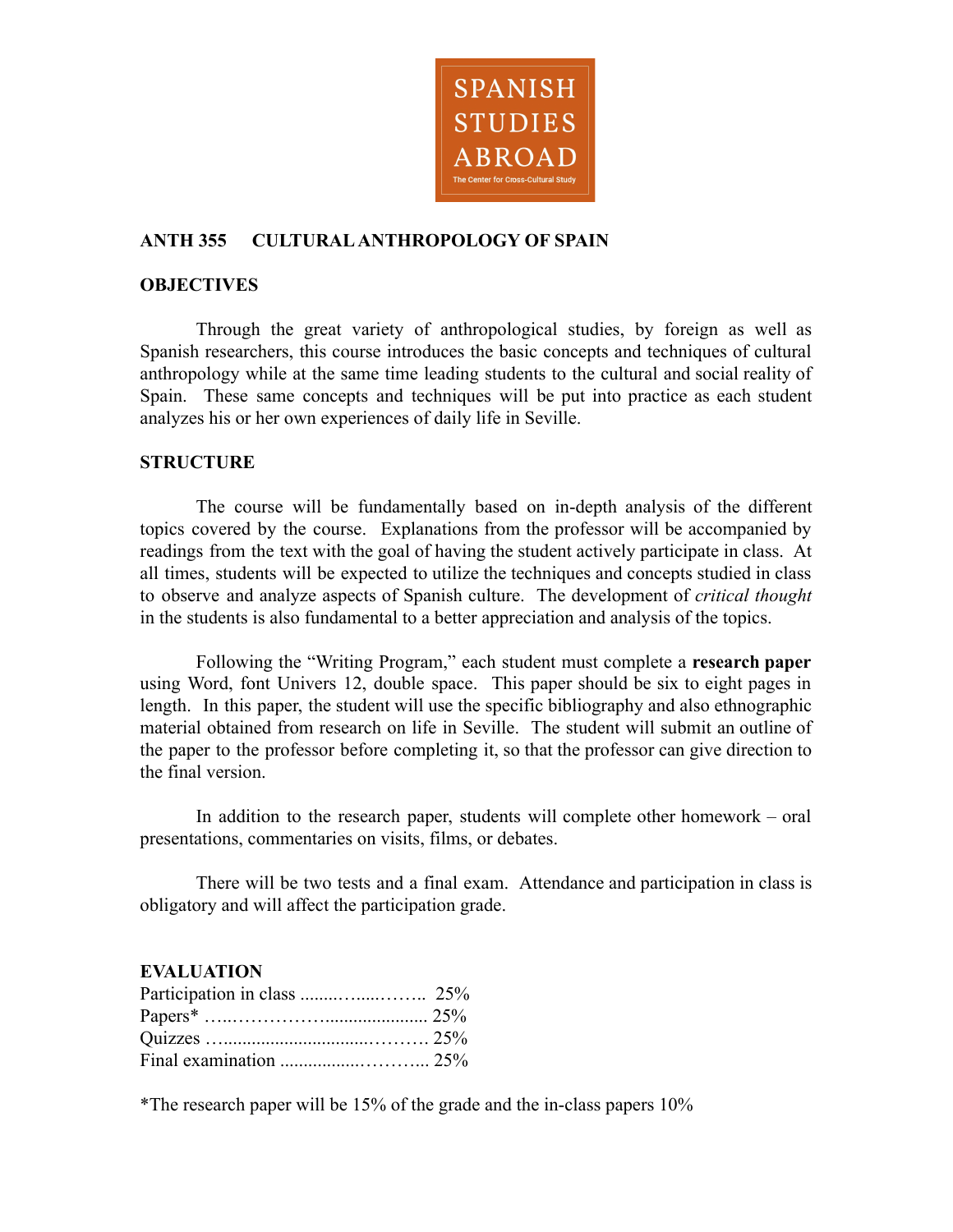

# **ANTH 355 CULTURALANTHROPOLOGY OF SPAIN**

#### **OBJECTIVES**

Through the great variety of anthropological studies, by foreign as well as Spanish researchers, this course introduces the basic concepts and techniques of cultural anthropology while at the same time leading students to the cultural and social reality of Spain. These same concepts and techniques will be put into practice as each student analyzes his or her own experiences of daily life in Seville.

### **STRUCTURE**

The course will be fundamentally based on in-depth analysis of the different topics covered by the course. Explanations from the professor will be accompanied by readings from the text with the goal of having the student actively participate in class. At all times, students will be expected to utilize the techniques and concepts studied in class to observe and analyze aspects of Spanish culture. The development of *critical thought* in the students is also fundamental to a better appreciation and analysis of the topics.

Following the "Writing Program," each student must complete a **research paper** using Word, font Univers 12, double space. This paper should be six to eight pages in length. In this paper, the student will use the specific bibliography and also ethnographic material obtained from research on life in Seville. The student will submit an outline of the paper to the professor before completing it, so that the professor can give direction to the final version.

In addition to the research paper, students will complete other homework – oral presentations, commentaries on visits, films, or debates.

There will be two tests and a final exam. Attendance and participation in class is obligatory and will affect the participation grade.

### **EVALUATION**

\*The research paper will be 15% of the grade and the in-class papers 10%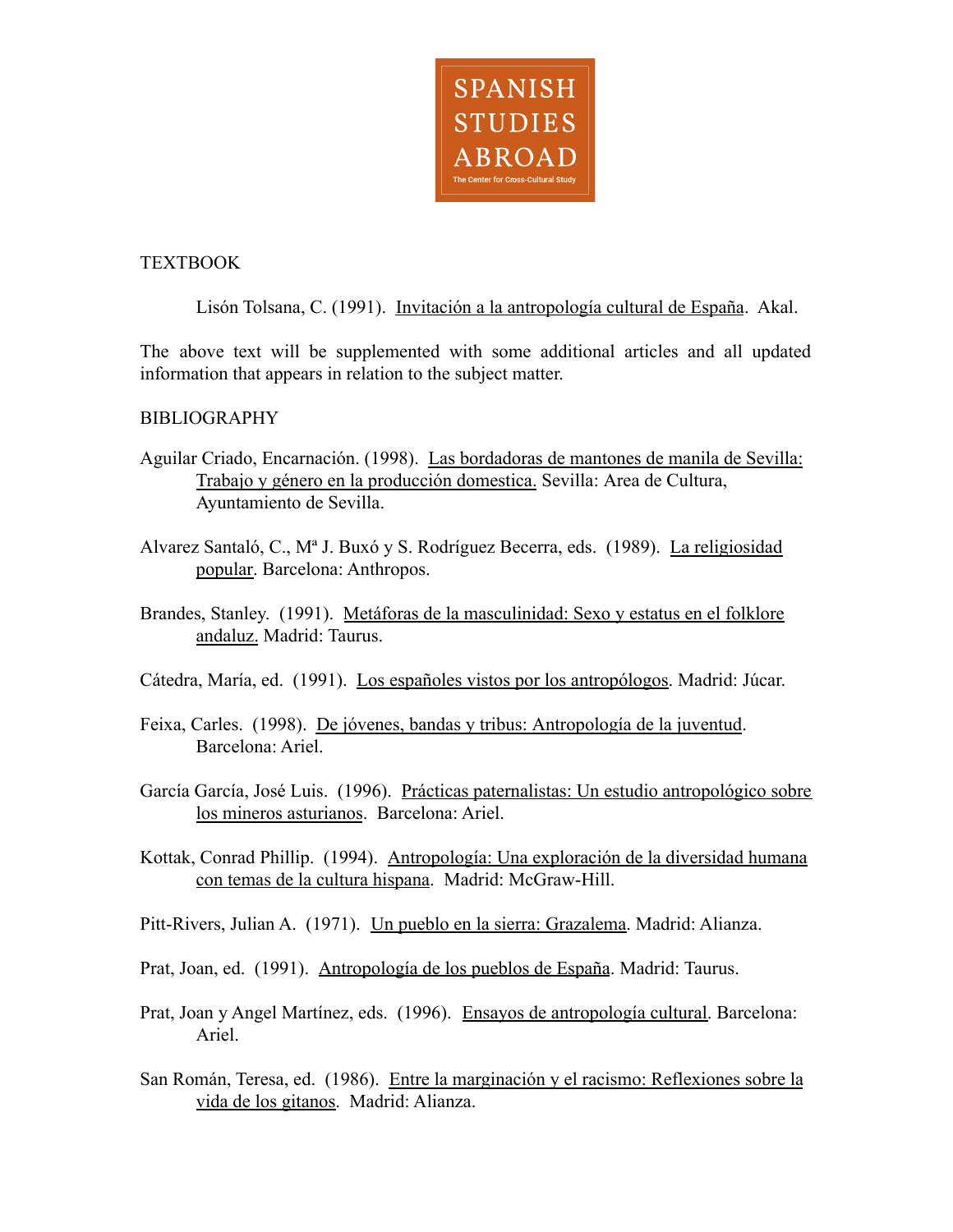

## TEXTBOOK

Lisón Tolsana, C. (1991). Invitación a la antropología cultural de España. Akal.

The above text will be supplemented with some additional articles and all updated information that appears in relation to the subject matter.

## **BIBLIOGRAPHY**

- Aguilar Criado, Encarnación. (1998). Las bordadoras de mantones de manila de Sevilla: Trabajo y género en la producción domestica. Sevilla: Area de Cultura, Ayuntamiento de Sevilla.
- Alvarez Santaló, C., Mª J. Buxó y S. Rodríguez Becerra, eds. (1989). La religiosidad popular. Barcelona: Anthropos.
- Brandes, Stanley. (1991). Metáforas de la masculinidad: Sexo y estatus en el folklore andaluz. Madrid: Taurus.
- Cátedra, María, ed. (1991). Los españoles vistos por los antropólogos. Madrid: Júcar.
- Feixa, Carles. (1998). De jóvenes, bandas y tribus: Antropología de la juventud. Barcelona: Ariel.
- García García, José Luis. (1996). Prácticas paternalistas: Un estudio antropológico sobre los mineros asturianos. Barcelona: Ariel.
- Kottak, Conrad Phillip. (1994). Antropología: Una exploración de la diversidad humana con temas de la cultura hispana. Madrid: McGraw-Hill.
- Pitt-Rivers, Julian A. (1971). Un pueblo en la sierra: Grazalema. Madrid: Alianza.
- Prat, Joan, ed. (1991). Antropología de los pueblos de España. Madrid: Taurus.
- Prat, Joan y Angel Martínez, eds. (1996). Ensayos de antropología cultural. Barcelona: Ariel.
- San Román, Teresa, ed. (1986). Entre la marginación y el racismo: Reflexiones sobre la vida de los gitanos. Madrid: Alianza.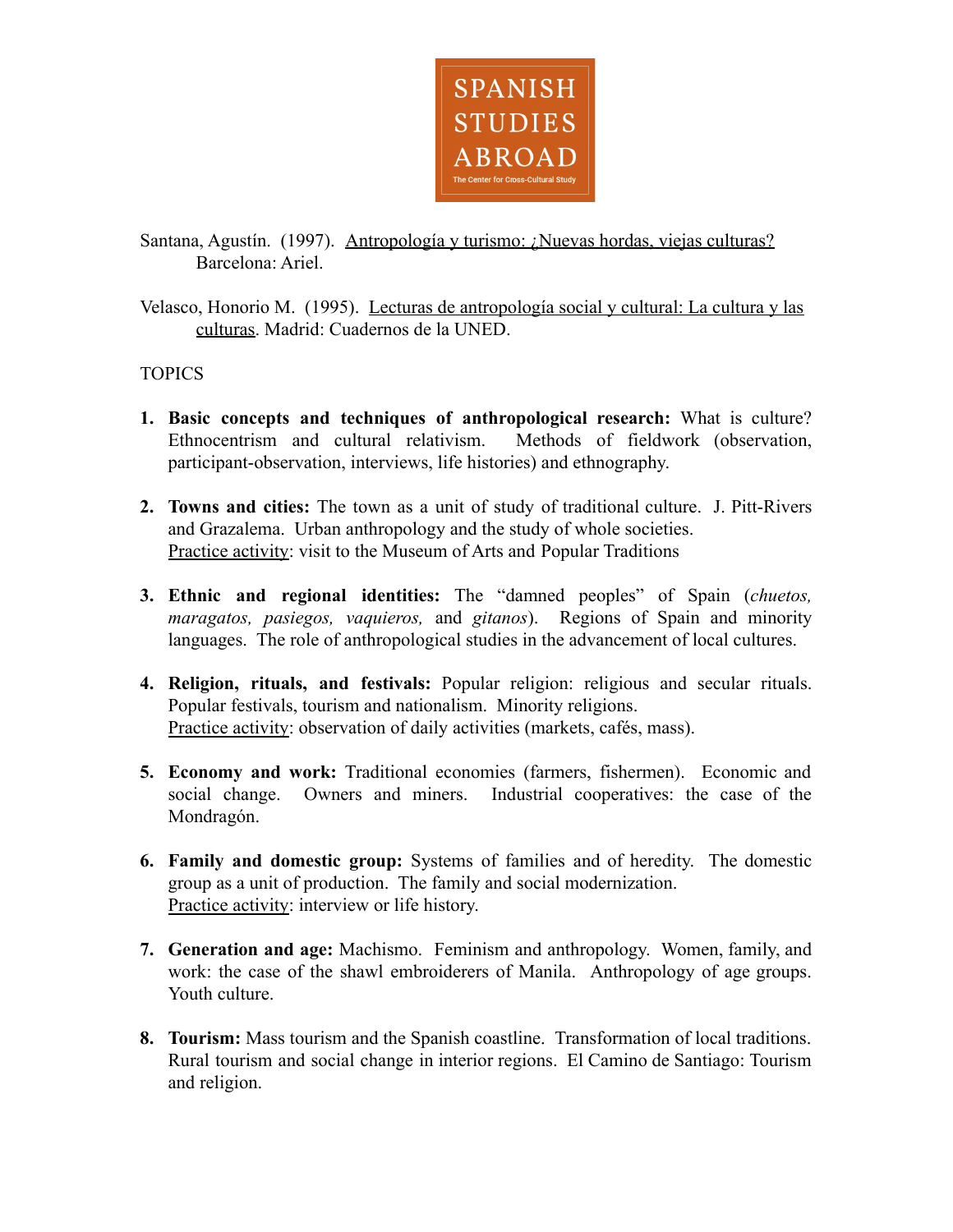

Santana, Agustín. (1997). Antropología y turismo: ¿Nuevas hordas, viejas culturas? Barcelona: Ariel.

Velasco, Honorio M. (1995). Lecturas de antropología social y cultural: La cultura y las culturas. Madrid: Cuadernos de la UNED.

## **TOPICS**

- **1. Basic concepts and techniques of anthropological research:** What is culture? Ethnocentrism and cultural relativism. Methods of fieldwork (observation, participant-observation, interviews, life histories) and ethnography.
- **2. Towns and cities:** The town as a unit of study of traditional culture. J. Pitt-Rivers and Grazalema. Urban anthropology and the study of whole societies. Practice activity: visit to the Museum of Arts and Popular Traditions
- **3. Ethnic and regional identities:** The "damned peoples" of Spain (*chuetos, maragatos, pasiegos, vaquieros,* and *gitanos*). Regions of Spain and minority languages. The role of anthropological studies in the advancement of local cultures.
- **4. Religion, rituals, and festivals:** Popular religion: religious and secular rituals. Popular festivals, tourism and nationalism. Minority religions. Practice activity: observation of daily activities (markets, cafés, mass).
- **5. Economy and work:** Traditional economies (farmers, fishermen). Economic and social change. Owners and miners. Industrial cooperatives: the case of the Mondragón.
- **6. Family and domestic group:** Systems of families and of heredity. The domestic group as a unit of production. The family and social modernization. Practice activity: interview or life history.
- **7. Generation and age:** Machismo. Feminism and anthropology. Women, family, and work: the case of the shawl embroiderers of Manila. Anthropology of age groups. Youth culture.
- **8. Tourism:** Mass tourism and the Spanish coastline. Transformation of local traditions. Rural tourism and social change in interior regions. El Camino de Santiago: Tourism and religion.